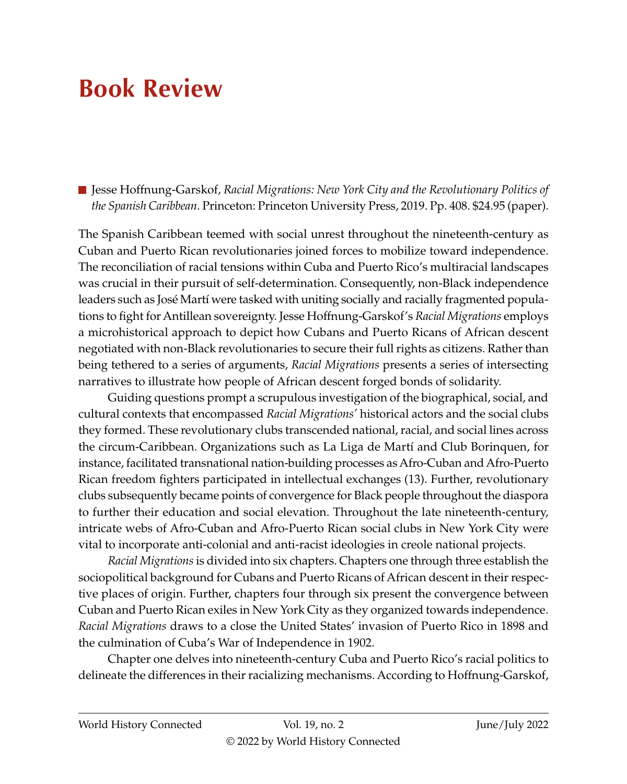## **Book Review**

■ Jesse Hoffnung-Garskof, *Racial Migrations: New York City and the Revolutionary Politics of the Spanish Caribbean*. Princeton: Princeton University Press, 2019. Pp. 408. \$24.95 (paper).

The Spanish Caribbean teemed with social unrest throughout the nineteenth-century as Cuban and Puerto Rican revolutionaries joined forces to mobilize toward independence. The reconciliation of racial tensions within Cuba and Puerto Rico's multiracial landscapes was crucial in their pursuit of self-determination. Consequently, non-Black independence leaders such as José Martí were tasked with uniting socially and racially fragmented populations to fight for Antillean sovereignty. Jesse Hoffnung-Garskof's *Racial Migrations* employs a microhistorical approach to depict how Cubans and Puerto Ricans of African descent negotiated with non-Black revolutionaries to secure their full rights as citizens. Rather than being tethered to a series of arguments, *Racial Migrations* presents a series of intersecting narratives to illustrate how people of African descent forged bonds of solidarity.

Guiding questions prompt a scrupulous investigation of the biographical, social, and cultural contexts that encompassed *Racial Migrations'* historical actors and the social clubs they formed. These revolutionary clubs transcended national, racial, and social lines across the circum-Caribbean. Organizations such as La Liga de Martí and Club Borinquen, for instance, facilitated transnational nation-building processes as Afro-Cuban and Afro-Puerto Rican freedom fighters participated in intellectual exchanges (13). Further, revolutionary clubs subsequently became points of convergence for Black people throughout the diaspora to further their education and social elevation. Throughout the late nineteenth-century, intricate webs of Afro-Cuban and Afro-Puerto Rican social clubs in New York City were vital to incorporate anti-colonial and anti-racist ideologies in creole national projects.

*Racial Migrations* is divided into six chapters. Chapters one through three establish the sociopolitical background for Cubans and Puerto Ricans of African descent in their respective places of origin. Further, chapters four through six present the convergence between Cuban and Puerto Rican exiles in New York City as they organized towards independence. *Racial Migrations* draws to a close the United States' invasion of Puerto Rico in 1898 and the culmination of Cuba's War of Independence in 1902.

Chapter one delves into nineteenth-century Cuba and Puerto Rico's racial politics to delineate the differences in their racializing mechanisms. According to Hoffnung-Garskof,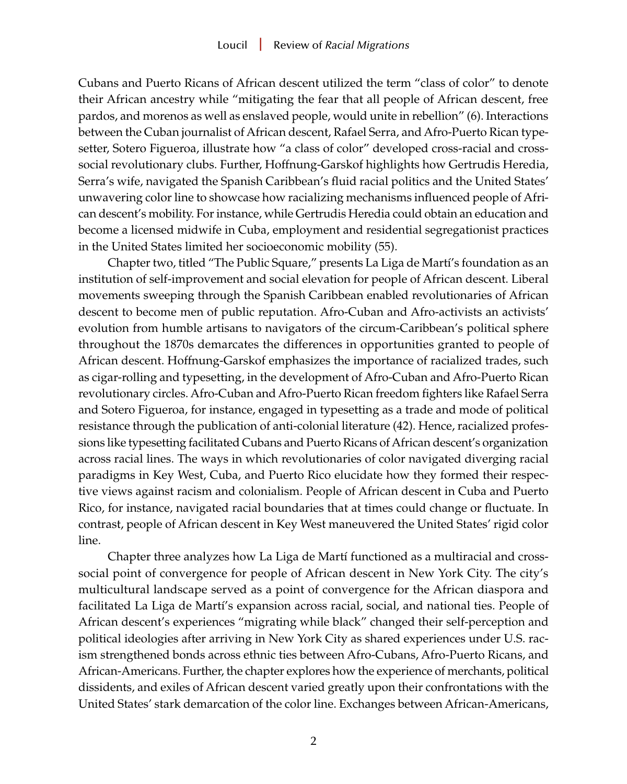Cubans and Puerto Ricans of African descent utilized the term "class of color" to denote their African ancestry while "mitigating the fear that all people of African descent, free pardos, and morenos as well as enslaved people, would unite in rebellion" (6). Interactions between the Cuban journalist of African descent, Rafael Serra, and Afro-Puerto Rican typesetter, Sotero Figueroa, illustrate how "a class of color" developed cross-racial and crosssocial revolutionary clubs. Further, Hoffnung-Garskof highlights how Gertrudis Heredia, Serra's wife, navigated the Spanish Caribbean's fluid racial politics and the United States' unwavering color line to showcase how racializing mechanisms influenced people of African descent's mobility. For instance, while Gertrudis Heredia could obtain an education and become a licensed midwife in Cuba, employment and residential segregationist practices in the United States limited her socioeconomic mobility (55).

Chapter two, titled "The Public Square," presents La Liga de Martí's foundation as an institution of self-improvement and social elevation for people of African descent. Liberal movements sweeping through the Spanish Caribbean enabled revolutionaries of African descent to become men of public reputation. Afro-Cuban and Afro-activists an activists' evolution from humble artisans to navigators of the circum-Caribbean's political sphere throughout the 1870s demarcates the differences in opportunities granted to people of African descent. Hoffnung-Garskof emphasizes the importance of racialized trades, such as cigar-rolling and typesetting, in the development of Afro-Cuban and Afro-Puerto Rican revolutionary circles. Afro-Cuban and Afro-Puerto Rican freedom fighters like Rafael Serra and Sotero Figueroa, for instance, engaged in typesetting as a trade and mode of political resistance through the publication of anti-colonial literature (42). Hence, racialized professions like typesetting facilitated Cubans and Puerto Ricans of African descent's organization across racial lines. The ways in which revolutionaries of color navigated diverging racial paradigms in Key West, Cuba, and Puerto Rico elucidate how they formed their respective views against racism and colonialism. People of African descent in Cuba and Puerto Rico, for instance, navigated racial boundaries that at times could change or fluctuate. In contrast, people of African descent in Key West maneuvered the United States' rigid color line.

Chapter three analyzes how La Liga de Martí functioned as a multiracial and crosssocial point of convergence for people of African descent in New York City. The city's multicultural landscape served as a point of convergence for the African diaspora and facilitated La Liga de Martí's expansion across racial, social, and national ties. People of African descent's experiences "migrating while black" changed their self-perception and political ideologies after arriving in New York City as shared experiences under U.S. racism strengthened bonds across ethnic ties between Afro-Cubans, Afro-Puerto Ricans, and African-Americans. Further, the chapter explores how the experience of merchants, political dissidents, and exiles of African descent varied greatly upon their confrontations with the United States' stark demarcation of the color line. Exchanges between African-Americans,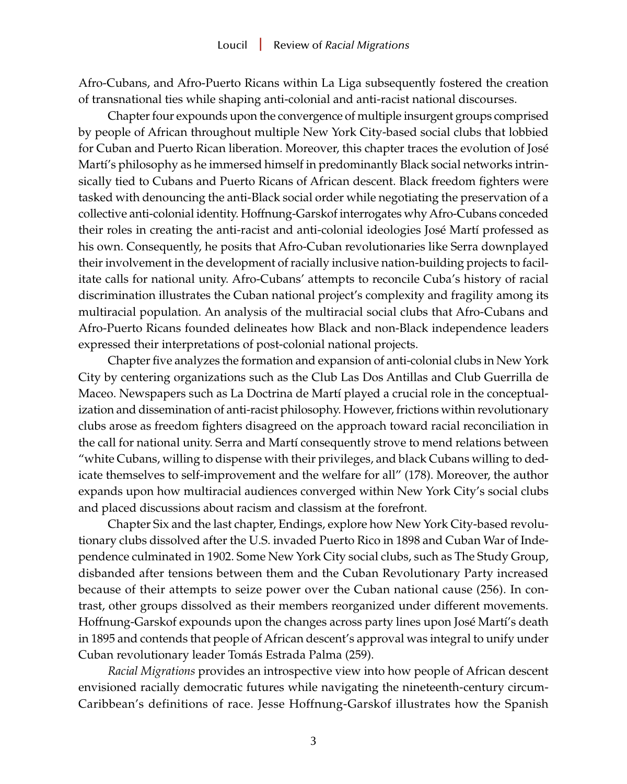Afro-Cubans, and Afro-Puerto Ricans within La Liga subsequently fostered the creation of transnational ties while shaping anti-colonial and anti-racist national discourses.

Chapter four expounds upon the convergence of multiple insurgent groups comprised by people of African throughout multiple New York City-based social clubs that lobbied for Cuban and Puerto Rican liberation. Moreover, this chapter traces the evolution of José Martí's philosophy as he immersed himself in predominantly Black social networks intrinsically tied to Cubans and Puerto Ricans of African descent. Black freedom fighters were tasked with denouncing the anti-Black social order while negotiating the preservation of a collective anti-colonial identity. Hoffnung-Garskof interrogates why Afro-Cubans conceded their roles in creating the anti-racist and anti-colonial ideologies José Martí professed as his own. Consequently, he posits that Afro-Cuban revolutionaries like Serra downplayed their involvement in the development of racially inclusive nation-building projects to facilitate calls for national unity. Afro-Cubans' attempts to reconcile Cuba's history of racial discrimination illustrates the Cuban national project's complexity and fragility among its multiracial population. An analysis of the multiracial social clubs that Afro-Cubans and Afro-Puerto Ricans founded delineates how Black and non-Black independence leaders expressed their interpretations of post-colonial national projects.

Chapter five analyzes the formation and expansion of anti-colonial clubs in New York City by centering organizations such as the Club Las Dos Antillas and Club Guerrilla de Maceo. Newspapers such as La Doctrina de Martí played a crucial role in the conceptualization and dissemination of anti-racist philosophy. However, frictions within revolutionary clubs arose as freedom fighters disagreed on the approach toward racial reconciliation in the call for national unity. Serra and Martí consequently strove to mend relations between "white Cubans, willing to dispense with their privileges, and black Cubans willing to dedicate themselves to self-improvement and the welfare for all" (178). Moreover, the author expands upon how multiracial audiences converged within New York City's social clubs and placed discussions about racism and classism at the forefront.

Chapter Six and the last chapter, Endings, explore how New York City-based revolutionary clubs dissolved after the U.S. invaded Puerto Rico in 1898 and Cuban War of Independence culminated in 1902. Some New York City social clubs, such as The Study Group, disbanded after tensions between them and the Cuban Revolutionary Party increased because of their attempts to seize power over the Cuban national cause (256). In contrast, other groups dissolved as their members reorganized under different movements. Hoffnung-Garskof expounds upon the changes across party lines upon José Martí's death in 1895 and contends that people of African descent's approval was integral to unify under Cuban revolutionary leader Tomás Estrada Palma (259).

*Racial Migrations* provides an introspective view into how people of African descent envisioned racially democratic futures while navigating the nineteenth-century circum-Caribbean's definitions of race. Jesse Hoffnung-Garskof illustrates how the Spanish